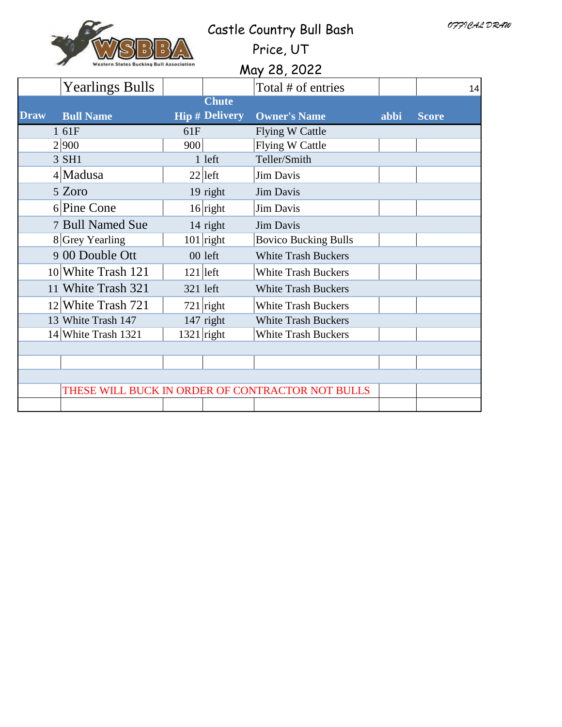| <b>Western States Bucking Bull Association</b> |  |
|------------------------------------------------|--|

# Castle Country Bull Bash

Price, UT

|             | <b>Western States Bucking Bull Association</b><br>May 28, 2022 |              |                       |                                                  |      |              |  |  |
|-------------|----------------------------------------------------------------|--------------|-----------------------|--------------------------------------------------|------|--------------|--|--|
|             | <b>Yearlings Bulls</b>                                         |              |                       | Total # of entries                               |      | 14           |  |  |
|             |                                                                |              | <b>Chute</b>          |                                                  |      |              |  |  |
| <b>Draw</b> | <b>Bull Name</b>                                               |              | <b>Hip # Delivery</b> | <b>Owner's Name</b>                              | abbi | <b>Score</b> |  |  |
|             | 1 61F                                                          | 61F          |                       | <b>Flying W Cattle</b>                           |      |              |  |  |
|             | 2 900                                                          | 900          |                       | <b>Flying W Cattle</b>                           |      |              |  |  |
|             | 3 SH1                                                          |              | 1 left                | Teller/Smith                                     |      |              |  |  |
|             | $4$ Madusa                                                     |              | $22$  left            | <b>Jim Davis</b>                                 |      |              |  |  |
|             | 5 Zoro                                                         |              | 19 right              | <b>Jim Davis</b>                                 |      |              |  |  |
|             | 6 Pine Cone                                                    |              | $16$ right            | Jim Davis                                        |      |              |  |  |
|             | 7 Bull Named Sue                                               |              | 14 right              | <b>Jim Davis</b>                                 |      |              |  |  |
|             | 8 Grey Yearling                                                |              | $101$ right           | <b>Bovico Bucking Bulls</b>                      |      |              |  |  |
|             | 9 00 Double Ott                                                |              | 00 left               | <b>White Trash Buckers</b>                       |      |              |  |  |
|             | 10 White Trash 121                                             | $121$ left   |                       | White Trash Buckers                              |      |              |  |  |
|             | 11 White Trash 321                                             | 321 left     |                       | <b>White Trash Buckers</b>                       |      |              |  |  |
|             | $12$ White Trash 721                                           |              | $721$ right           | <b>White Trash Buckers</b>                       |      |              |  |  |
|             | 13 White Trash 147                                             |              | $147$ right           | <b>White Trash Buckers</b>                       |      |              |  |  |
|             | 14 White Trash 1321                                            | $1321$ right |                       | <b>White Trash Buckers</b>                       |      |              |  |  |
|             |                                                                |              |                       |                                                  |      |              |  |  |
|             |                                                                |              |                       |                                                  |      |              |  |  |
|             |                                                                |              |                       |                                                  |      |              |  |  |
|             |                                                                |              |                       | THESE WILL BUCK IN ORDER OF CONTRACTOR NOT BULLS |      |              |  |  |
|             |                                                                |              |                       |                                                  |      |              |  |  |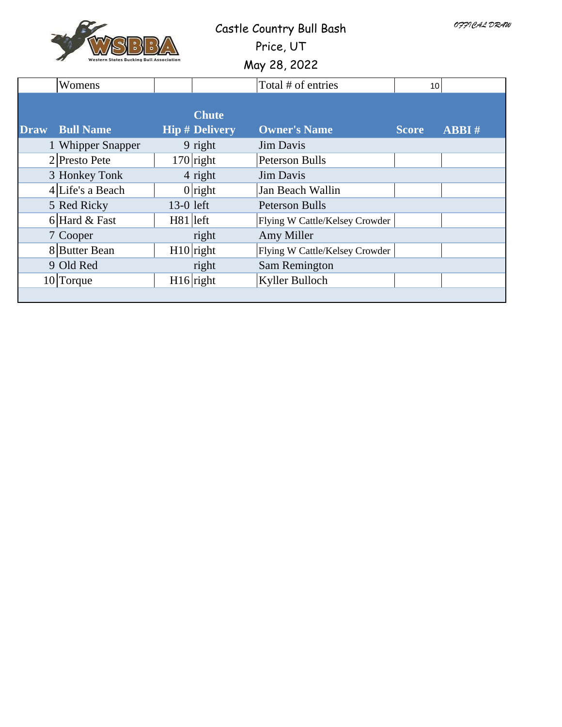

## Castle Country Bull Bash

Price, UT

|             | <b>Western States Bucking Bull Association</b> |             |                                       | May 28, 2022                   |                 |       |
|-------------|------------------------------------------------|-------------|---------------------------------------|--------------------------------|-----------------|-------|
|             | Womens                                         |             |                                       | Total # of entries             | 10 <sup>1</sup> |       |
| <b>Draw</b> | <b>Bull Name</b>                               |             | <b>Chute</b><br><b>Hip # Delivery</b> | <b>Owner's Name</b>            | <b>Score</b>    | ABBI# |
|             | 1 Whipper Snapper                              |             | 9 right                               | Jim Davis                      |                 |       |
|             | $2$ Presto Pete                                |             | $170$ right                           | <b>Peterson Bulls</b>          |                 |       |
|             | 3 Honkey Tonk                                  |             | 4 right                               | <b>Jim Davis</b>               |                 |       |
|             | $4$ Life's a Beach                             |             | $0$ right                             | Jan Beach Wallin               |                 |       |
|             | 5 Red Ricky                                    | 13-0 left   |                                       | <b>Peterson Bulls</b>          |                 |       |
|             | $6$ Hard & Fast                                | $H81$  left |                                       | Flying W Cattle/Kelsey Crowder |                 |       |
|             | 7 Cooper                                       |             | right                                 | Amy Miller                     |                 |       |
|             | 8 Butter Bean                                  |             | $H10$ right                           | Flying W Cattle/Kelsey Crowder |                 |       |
|             | 9 Old Red                                      |             | right                                 | Sam Remington                  |                 |       |
|             | $10$ Torque                                    |             | $H16$ right                           | Kyller Bulloch                 |                 |       |
|             |                                                |             |                                       |                                |                 |       |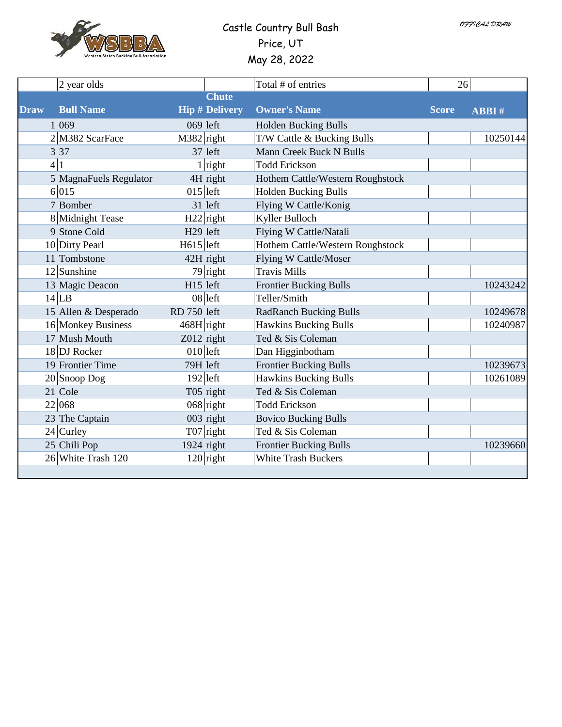

### Castle Country Bull Bash Price, UT May 28, 2022

|             | 2 year olds            |                      |                       | Total # of entries               | 26           |              |
|-------------|------------------------|----------------------|-----------------------|----------------------------------|--------------|--------------|
|             |                        |                      | <b>Chute</b>          |                                  |              |              |
| <b>Draw</b> | <b>Bull Name</b>       |                      | <b>Hip # Delivery</b> | <b>Owner's Name</b>              | <b>Score</b> | <b>ABBI#</b> |
|             | 1 0 6 9                |                      | $069$ left            | <b>Holden Bucking Bulls</b>      |              |              |
|             | 2 M382 ScarFace        | $M382$ right         |                       | T/W Cattle & Bucking Bulls       |              | 10250144     |
|             | 3 3 7                  |                      | 37 left               | Mann Creek Buck N Bulls          |              |              |
|             | 4 1                    |                      | $1$ right             | <b>Todd Erickson</b>             |              |              |
|             | 5 MagnaFuels Regulator |                      | 4H right              | Hothem Cattle/Western Roughstock |              |              |
|             | 6 015                  | $015$  left          |                       | <b>Holden Bucking Bulls</b>      |              |              |
|             | 7 Bomber               |                      | 31 left               | Flying W Cattle/Konig            |              |              |
|             | 8 Midnight Tease       |                      | $H22$ right           | Kyller Bulloch                   |              |              |
|             | 9 Stone Cold           | H <sub>29</sub> left |                       | Flying W Cattle/Natali           |              |              |
|             | 10 Dirty Pearl         | $H615$  left         |                       | Hothem Cattle/Western Roughstock |              |              |
|             | 11 Tombstone           |                      | 42H right             | <b>Flying W Cattle/Moser</b>     |              |              |
|             | $12$ Sunshine          |                      | $\overline{79}$ right | <b>Travis Mills</b>              |              |              |
|             | 13 Magic Deacon        | H15 left             |                       | <b>Frontier Bucking Bulls</b>    |              | 10243242     |
|             | $14$ LB                |                      | $08$  left            | Teller/Smith                     |              |              |
|             | 15 Allen & Desperado   | RD 750 left          |                       | <b>RadRanch Bucking Bulls</b>    |              | 10249678     |
|             | 16 Monkey Business     | $468H$ right         |                       | <b>Hawkins Bucking Bulls</b>     |              | 10240987     |
|             | 17 Mush Mouth          | Z012 right           |                       | Ted & Sis Coleman                |              |              |
|             | 18 DJ Rocker           | $010$  left          |                       | Dan Higginbotham                 |              |              |
|             | 19 Frontier Time       | 79H left             |                       | <b>Frontier Bucking Bulls</b>    |              | 10239673     |
|             | $20$ Snoop Dog         |                      | $192$  left           | <b>Hawkins Bucking Bulls</b>     |              | 10261089     |
|             | 21 Cole                |                      | T05 right             | Ted & Sis Coleman                |              |              |
|             | 22 068                 |                      | $068$ right           | <b>Todd Erickson</b>             |              |              |
|             | 23 The Captain         |                      | 003 right             | <b>Bovico Bucking Bulls</b>      |              |              |
|             | $24$ Curley            |                      | $T07$ right           | Ted & Sis Coleman                |              |              |
|             | 25 Chili Pop           |                      | 1924 right            | <b>Frontier Bucking Bulls</b>    |              | 10239660     |
|             | 26 White Trash 120     |                      | $120$ right           | <b>White Trash Buckers</b>       |              |              |
|             |                        |                      |                       |                                  |              |              |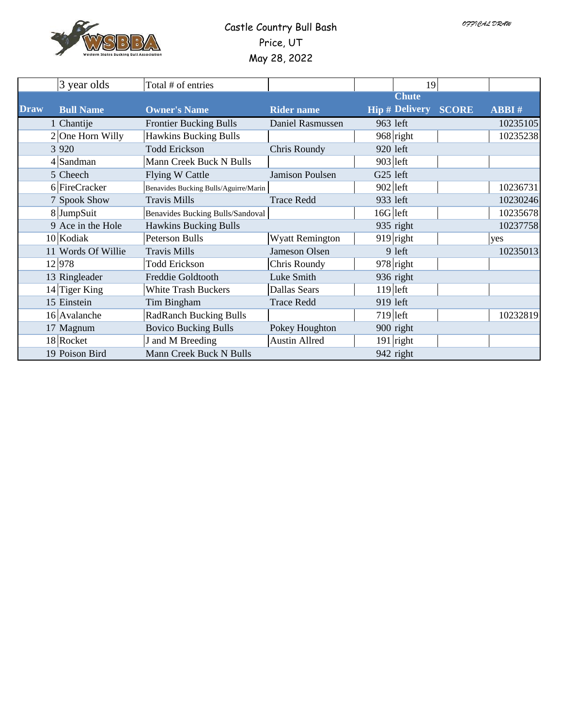

#### Castle Country Bull Bash Price, UT May 28, 2022

|             | 3 year olds        | Total # of entries                    |                        |                       | 19           |              |
|-------------|--------------------|---------------------------------------|------------------------|-----------------------|--------------|--------------|
|             |                    |                                       |                        | <b>Chute</b>          |              |              |
| <b>Draw</b> | <b>Bull Name</b>   | <b>Owner's Name</b>                   | <b>Rider name</b>      | <b>Hip # Delivery</b> | <b>SCORE</b> | <b>ABBI#</b> |
|             | 1 Chantije         | <b>Frontier Bucking Bulls</b>         | Daniel Rasmussen       | 963 left              |              | 10235105     |
|             | $2$ One Horn Willy | <b>Hawkins Bucking Bulls</b>          |                        | $968$ right           |              | 10235238     |
|             | 3 9 2 0            | <b>Todd Erickson</b>                  | Chris Roundy           | 920 left              |              |              |
|             | $4$ Sandman        | Mann Creek Buck N Bulls               |                        | $903$  left           |              |              |
|             | 5 Cheech           | Flying W Cattle                       | <b>Jamison Poulsen</b> | G25 left              |              |              |
|             | 6 FireCracker      | Benavides Bucking Bulls/Aguirre/Marin |                        | $902$  left           |              | 10236731     |
|             | 7 Spook Show       | <b>Travis Mills</b>                   | <b>Trace Redd</b>      | 933 left              |              | 10230246     |
|             | 8 JumpSuit         | Benavides Bucking Bulls/Sandoval      |                        | $16G$  left           |              | 10235678     |
|             | 9 Ace in the Hole  | <b>Hawkins Bucking Bulls</b>          |                        | 935 right             |              | 10237758     |
|             | $10$ Kodiak        | <b>Peterson Bulls</b>                 | <b>Wyatt Remington</b> | $919$ right           |              | yes          |
|             | 11 Words Of Willie | <b>Travis Mills</b>                   | Jameson Olsen          | 9 left                |              | 10235013     |
|             | 12 978             | <b>Todd Erickson</b>                  | Chris Roundy           | $978$ right           |              |              |
|             | 13 Ringleader      | Freddie Goldtooth                     | Luke Smith             | 936 right             |              |              |
|             | $14$ Tiger King    | <b>White Trash Buckers</b>            | Dallas Sears           | $119$  left           |              |              |
|             | 15 Einstein        | Tim Bingham                           | <b>Trace Redd</b>      | 919 left              |              |              |
|             | $16$  Avalanche    | <b>RadRanch Bucking Bulls</b>         |                        | $719$  left           |              | 10232819     |
|             | 17 Magnum          | <b>Bovico Bucking Bulls</b>           | Pokey Houghton         | 900 right             |              |              |
|             | 18 Rocket          | J and M Breeding                      | <b>Austin Allred</b>   | $191$ right           |              |              |
|             | 19 Poison Bird     | Mann Creek Buck N Bulls               |                        | 942 right             |              |              |